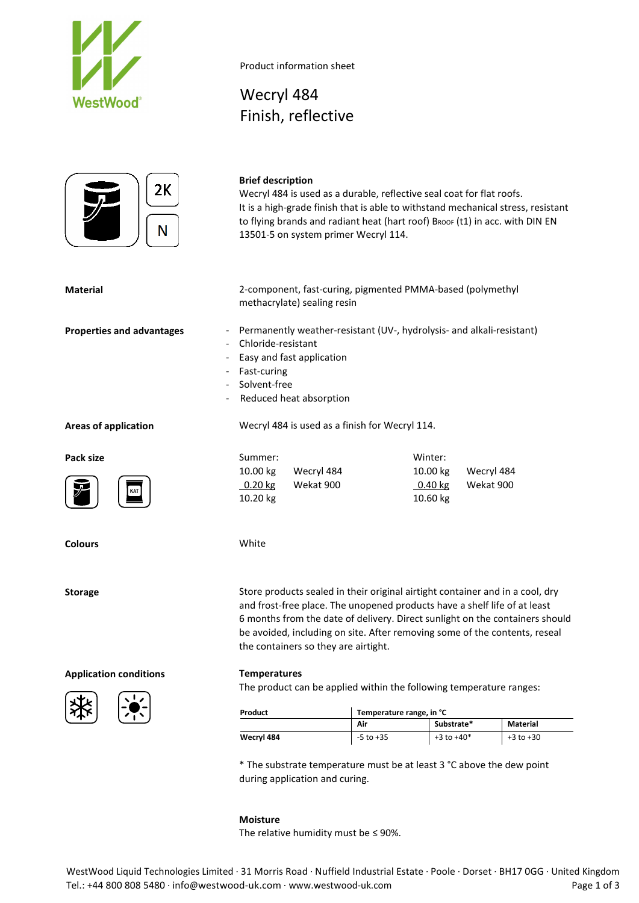



Wecryl 484

Product information sheet

Finish, reflective

| 2К<br>N                          | <b>Brief description</b><br>Wecryl 484 is used as a durable, reflective seal coat for flat roofs.<br>It is a high-grade finish that is able to withstand mechanical stress, resistant<br>to flying brands and radiant heat (hart roof) BROOF (t1) in acc. with DIN EN<br>13501-5 on system primer Wecryl 114. |                                                                           |                                              |                                                                                                                                                                                                                                             |  |  |  |
|----------------------------------|---------------------------------------------------------------------------------------------------------------------------------------------------------------------------------------------------------------------------------------------------------------------------------------------------------------|---------------------------------------------------------------------------|----------------------------------------------|---------------------------------------------------------------------------------------------------------------------------------------------------------------------------------------------------------------------------------------------|--|--|--|
| <b>Material</b>                  | methacrylate) sealing resin                                                                                                                                                                                                                                                                                   | 2-component, fast-curing, pigmented PMMA-based (polymethyl                |                                              |                                                                                                                                                                                                                                             |  |  |  |
| <b>Properties and advantages</b> | Permanently weather-resistant (UV-, hydrolysis- and alkali-resistant)<br>Chloride-resistant<br>Easy and fast application<br>Fast-curing<br>Solvent-free<br>Reduced heat absorption                                                                                                                            |                                                                           |                                              |                                                                                                                                                                                                                                             |  |  |  |
| <b>Areas of application</b>      |                                                                                                                                                                                                                                                                                                               | Wecryl 484 is used as a finish for Wecryl 114.                            |                                              |                                                                                                                                                                                                                                             |  |  |  |
| Pack size                        | Summer:<br>10.00 kg<br>Wecryl 484<br>0.20 kg<br>Wekat 900<br>10.20 kg                                                                                                                                                                                                                                         |                                                                           | Winter:<br>10.00 kg<br>$0.40$ kg<br>10.60 kg | Wecryl 484<br>Wekat 900                                                                                                                                                                                                                     |  |  |  |
| <b>Colours</b>                   | White                                                                                                                                                                                                                                                                                                         |                                                                           |                                              |                                                                                                                                                                                                                                             |  |  |  |
| <b>Storage</b>                   | the containers so they are airtight.                                                                                                                                                                                                                                                                          | and frost-free place. The unopened products have a shelf life of at least |                                              | Store products sealed in their original airtight container and in a cool, dry<br>6 months from the date of delivery. Direct sunlight on the containers should<br>be avoided, including on site. After removing some of the contents, reseal |  |  |  |
| <b>Application conditions</b>    | <b>Temperatures</b>                                                                                                                                                                                                                                                                                           |                                                                           |                                              |                                                                                                                                                                                                                                             |  |  |  |



The product can be applied within the following temperature ranges:

| Product    | Temperature range, in °C |                |               |  |  |
|------------|--------------------------|----------------|---------------|--|--|
|            | Air                      | Substrate*     | Material      |  |  |
| Wecryl 484 | $-5$ to $+35$            | $+3$ to $+40*$ | $+3$ to $+30$ |  |  |

\* The substrate temperature must be at least 3 °C above the dew point during application and curing.

### **Moisture**

The relative humidity must be  $\leq$  90%.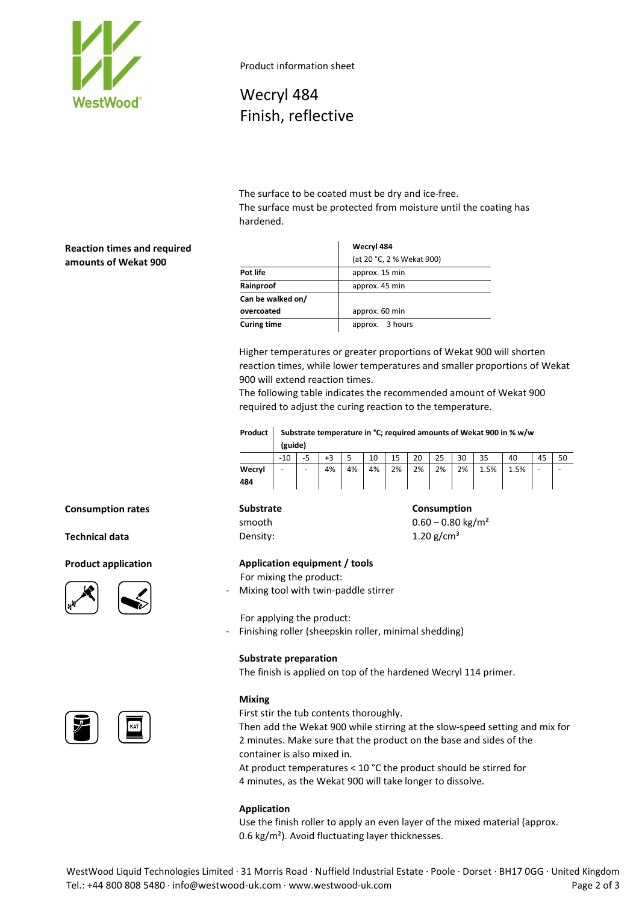

Product information sheet

Wecryl 484 Finish, reflective

The surface to be coated must be dry and ice-free. The surface must be protected from moisture until the coating has hardened.

## **Reaction times and required amounts of Wekat 900**

|                    | Wecryl 484                |  |  |  |  |
|--------------------|---------------------------|--|--|--|--|
|                    | (at 20 °C, 2 % Wekat 900) |  |  |  |  |
| Pot life           | approx. 15 min            |  |  |  |  |
| Rainproof          | approx. 45 min            |  |  |  |  |
| Can be walked on/  |                           |  |  |  |  |
| overcoated         | approx. 60 min            |  |  |  |  |
| <b>Curing time</b> | approx. 3 hours           |  |  |  |  |

Higher temperatures or greater proportions of Wekat 900 will shorten reaction times, while lower temperatures and smaller proportions of Wekat 900 will extend reaction times.

The following table indicates the recommended amount of Wekat 900 required to adjust the curing reaction to the temperature.

| Product | Substrate temperature in °C; required amounts of Wekat 900 in % w/w<br>(guide) |   |    |    |    |    |    |    |    |      |      |    |  |
|---------|--------------------------------------------------------------------------------|---|----|----|----|----|----|----|----|------|------|----|--|
|         | $-10$                                                                          |   | +3 |    | 10 | 15 | 20 | 25 | 30 | 35   | 40   | 45 |  |
| Wecryl  | -                                                                              | - | 4% | 4% | 4% | 2% | 2% | 2% | 2% | 1.5% | 1.5% |    |  |
| 484     |                                                                                |   |    |    |    |    |    |    |    |      |      |    |  |

**Consumption rates Consumption Consumption Consumption** 

## **Technical data Density: Density:** 1.20 g/cm<sup>3</sup>







# smooth  $0.60 - 0.80 \text{ kg/m}^2$

## **Product application Application equipment / tools**

For mixing the product:

- Mixing tool with twin-paddle stirrer

For applying the product:

- Finishing roller (sheepskin roller, minimal shedding)

### **Substrate preparation**

The finish is applied on top of the hardened Wecryl 114 primer.

### **Mixing**

First stir the tub contents thoroughly.

Then add the Wekat 900 while stirring at the slow-speed setting and mix for 2 minutes. Make sure that the product on the base and sides of the container is also mixed in.

At product temperatures < 10 °C the product should be stirred for 4 minutes, as the Wekat 900 will take longer to dissolve.

### **Application**

Use the finish roller to apply an even layer of the mixed material (approx. 0.6 kg/m²). Avoid fluctuating layer thicknesses.